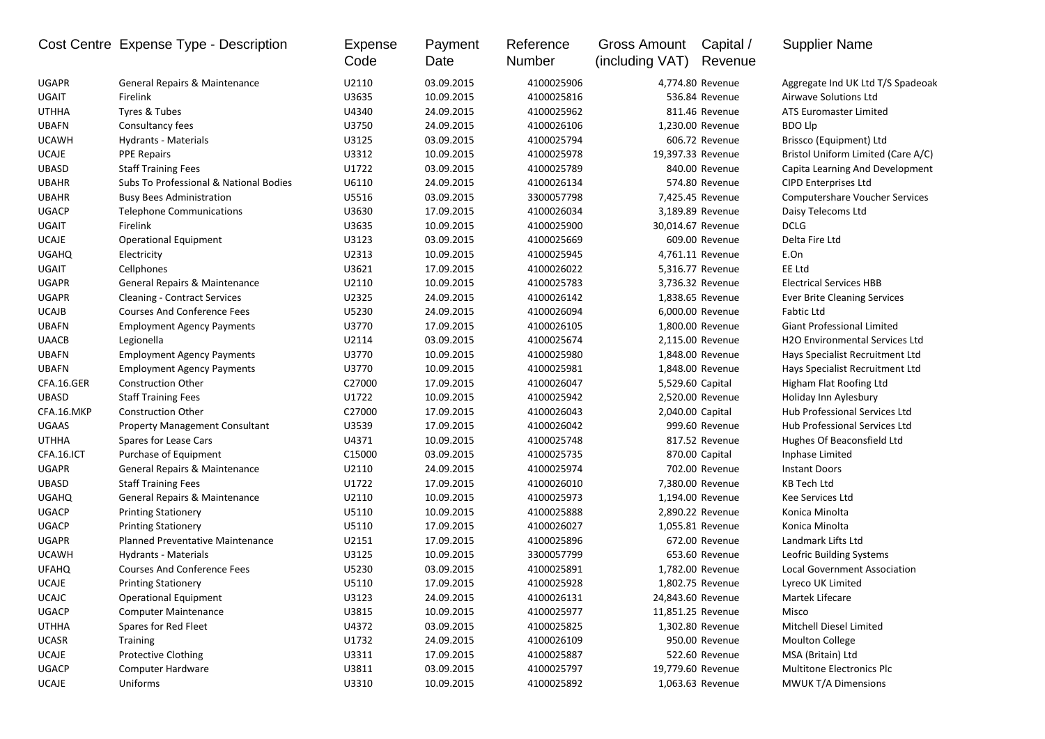|              | Cost Centre Expense Type - Description | Expense<br>Code | Payment<br>Date | Reference<br>Number | <b>Gross Amount</b><br>(including VAT) | Capital /<br>Revenue | <b>Supplier Name</b>                  |
|--------------|----------------------------------------|-----------------|-----------------|---------------------|----------------------------------------|----------------------|---------------------------------------|
| <b>UGAPR</b> | General Repairs & Maintenance          | U2110           | 03.09.2015      | 4100025906          |                                        | 4,774.80 Revenue     | Aggregate Ind UK Ltd T/S Spadeoak     |
| <b>UGAIT</b> | Firelink                               | U3635           | 10.09.2015      | 4100025816          |                                        | 536.84 Revenue       | Airwave Solutions Ltd                 |
| <b>UTHHA</b> | Tyres & Tubes                          | U4340           | 24.09.2015      | 4100025962          |                                        | 811.46 Revenue       | <b>ATS Euromaster Limited</b>         |
| <b>UBAFN</b> | Consultancy fees                       | U3750           | 24.09.2015      | 4100026106          |                                        | 1,230.00 Revenue     | <b>BDO Llp</b>                        |
| <b>UCAWH</b> | Hydrants - Materials                   | U3125           | 03.09.2015      | 4100025794          |                                        | 606.72 Revenue       | Brissco (Equipment) Ltd               |
| <b>UCAJE</b> | <b>PPE Repairs</b>                     | U3312           | 10.09.2015      | 4100025978          |                                        | 19,397.33 Revenue    | Bristol Uniform Limited (Care A/C)    |
| <b>UBASD</b> | <b>Staff Training Fees</b>             | U1722           | 03.09.2015      | 4100025789          |                                        | 840.00 Revenue       | Capita Learning And Development       |
| <b>UBAHR</b> | Subs To Professional & National Bodies | U6110           | 24.09.2015      | 4100026134          |                                        | 574.80 Revenue       | CIPD Enterprises Ltd                  |
| <b>UBAHR</b> | <b>Busy Bees Administration</b>        | U5516           | 03.09.2015      | 3300057798          |                                        | 7,425.45 Revenue     | <b>Computershare Voucher Services</b> |
| <b>UGACP</b> | <b>Telephone Communications</b>        | U3630           | 17.09.2015      | 4100026034          |                                        | 3,189.89 Revenue     | Daisy Telecoms Ltd                    |
| UGAIT        | Firelink                               | U3635           | 10.09.2015      | 4100025900          |                                        | 30,014.67 Revenue    | <b>DCLG</b>                           |
| <b>UCAJE</b> | <b>Operational Equipment</b>           | U3123           | 03.09.2015      | 4100025669          |                                        | 609.00 Revenue       | Delta Fire Ltd                        |
| <b>UGAHQ</b> | Electricity                            | U2313           | 10.09.2015      | 4100025945          |                                        | 4,761.11 Revenue     | E.On                                  |
| <b>UGAIT</b> | Cellphones                             | U3621           | 17.09.2015      | 4100026022          |                                        | 5,316.77 Revenue     | EE Ltd                                |
| <b>UGAPR</b> | General Repairs & Maintenance          | U2110           | 10.09.2015      | 4100025783          |                                        | 3,736.32 Revenue     | <b>Electrical Services HBB</b>        |
| <b>UGAPR</b> | <b>Cleaning - Contract Services</b>    | U2325           | 24.09.2015      | 4100026142          |                                        | 1,838.65 Revenue     | <b>Ever Brite Cleaning Services</b>   |
| <b>UCAJB</b> | <b>Courses And Conference Fees</b>     | U5230           | 24.09.2015      | 4100026094          |                                        | 6,000.00 Revenue     | <b>Fabtic Ltd</b>                     |
| <b>UBAFN</b> | <b>Employment Agency Payments</b>      | U3770           | 17.09.2015      | 4100026105          |                                        | 1,800.00 Revenue     | Giant Professional Limited            |
| <b>UAACB</b> | Legionella                             | U2114           | 03.09.2015      | 4100025674          |                                        | 2,115.00 Revenue     | H2O Environmental Services Ltd        |
| <b>UBAFN</b> | <b>Employment Agency Payments</b>      | U3770           | 10.09.2015      | 4100025980          |                                        | 1,848.00 Revenue     | Hays Specialist Recruitment Ltd       |
| <b>UBAFN</b> | <b>Employment Agency Payments</b>      | U3770           | 10.09.2015      | 4100025981          |                                        | 1,848.00 Revenue     | Hays Specialist Recruitment Ltd       |
| CFA.16.GER   | Construction Other                     | C27000          | 17.09.2015      | 4100026047          |                                        | 5,529.60 Capital     | Higham Flat Roofing Ltd               |
| <b>UBASD</b> | <b>Staff Training Fees</b>             | U1722           | 10.09.2015      | 4100025942          |                                        | 2,520.00 Revenue     | Holiday Inn Aylesbury                 |
| CFA.16.MKP   | <b>Construction Other</b>              | C27000          | 17.09.2015      | 4100026043          |                                        | 2,040.00 Capital     | Hub Professional Services Ltd         |
| <b>UGAAS</b> | <b>Property Management Consultant</b>  | U3539           | 17.09.2015      | 4100026042          |                                        | 999.60 Revenue       | Hub Professional Services Ltd         |
| <b>UTHHA</b> | Spares for Lease Cars                  | U4371           | 10.09.2015      | 4100025748          |                                        | 817.52 Revenue       | Hughes Of Beaconsfield Ltd            |
| CFA.16.ICT   | Purchase of Equipment                  | C15000          | 03.09.2015      | 4100025735          |                                        | 870.00 Capital       | Inphase Limited                       |
| <b>UGAPR</b> | General Repairs & Maintenance          | U2110           | 24.09.2015      | 4100025974          |                                        | 702.00 Revenue       | <b>Instant Doors</b>                  |
| <b>UBASD</b> | <b>Staff Training Fees</b>             | U1722           | 17.09.2015      | 4100026010          |                                        | 7,380.00 Revenue     | <b>KB Tech Ltd</b>                    |
| <b>UGAHQ</b> | General Repairs & Maintenance          | U2110           | 10.09.2015      | 4100025973          |                                        | 1,194.00 Revenue     | Kee Services Ltd                      |
| <b>UGACP</b> | <b>Printing Stationery</b>             | U5110           | 10.09.2015      | 4100025888          |                                        | 2,890.22 Revenue     | Konica Minolta                        |
| <b>UGACP</b> | <b>Printing Stationery</b>             | U5110           | 17.09.2015      | 4100026027          |                                        | 1,055.81 Revenue     | Konica Minolta                        |
| <b>UGAPR</b> | Planned Preventative Maintenance       | U2151           | 17.09.2015      | 4100025896          |                                        | 672.00 Revenue       | Landmark Lifts Ltd                    |
| <b>UCAWH</b> | Hydrants - Materials                   | U3125           | 10.09.2015      | 3300057799          |                                        | 653.60 Revenue       | Leofric Building Systems              |
| <b>UFAHQ</b> | <b>Courses And Conference Fees</b>     | U5230           | 03.09.2015      | 4100025891          |                                        | 1,782.00 Revenue     | <b>Local Government Association</b>   |
| <b>UCAJE</b> | <b>Printing Stationery</b>             | U5110           | 17.09.2015      | 4100025928          |                                        | 1,802.75 Revenue     | Lyreco UK Limited                     |
| <b>UCAJC</b> | <b>Operational Equipment</b>           | U3123           | 24.09.2015      | 4100026131          |                                        | 24,843.60 Revenue    | Martek Lifecare                       |
| <b>UGACP</b> | <b>Computer Maintenance</b>            | U3815           | 10.09.2015      | 4100025977          |                                        | 11,851.25 Revenue    | Misco                                 |
| <b>UTHHA</b> | Spares for Red Fleet                   | U4372           | 03.09.2015      | 4100025825          |                                        | 1,302.80 Revenue     | Mitchell Diesel Limited               |
| UCASR        | Training                               | U1732           | 24.09.2015      | 4100026109          |                                        | 950.00 Revenue       | <b>Moulton College</b>                |
| <b>UCAJE</b> | <b>Protective Clothing</b>             | U3311           | 17.09.2015      | 4100025887          |                                        | 522.60 Revenue       | MSA (Britain) Ltd                     |
| <b>UGACP</b> | <b>Computer Hardware</b>               | U3811           | 03.09.2015      | 4100025797          |                                        | 19,779.60 Revenue    | <b>Multitone Electronics Plc</b>      |
| UCAJE        | Uniforms                               | U3310           | 10.09.2015      | 4100025892          |                                        | 1,063.63 Revenue     | <b>MWUK T/A Dimensions</b>            |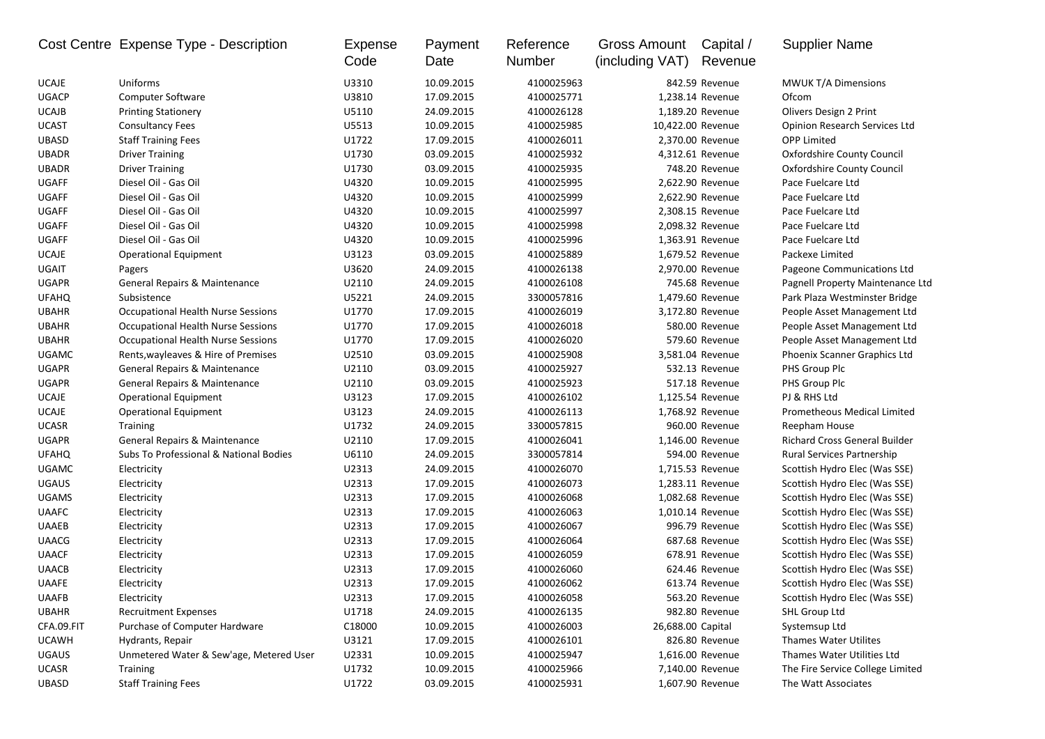|              | Cost Centre Expense Type - Description    | Expense<br>Code | Payment<br>Date | Reference<br>Number | Gross Amount<br>(including VAT) | Capital /<br>Revenue | <b>Supplier Name</b>                 |
|--------------|-------------------------------------------|-----------------|-----------------|---------------------|---------------------------------|----------------------|--------------------------------------|
| <b>UCAJE</b> | Uniforms                                  | U3310           | 10.09.2015      | 4100025963          |                                 | 842.59 Revenue       | <b>MWUK T/A Dimensions</b>           |
| <b>UGACP</b> | <b>Computer Software</b>                  | U3810           | 17.09.2015      | 4100025771          |                                 | 1,238.14 Revenue     | Ofcom                                |
| <b>UCAJB</b> | <b>Printing Stationery</b>                | U5110           | 24.09.2015      | 4100026128          |                                 | 1,189.20 Revenue     | Olivers Design 2 Print               |
| <b>UCAST</b> | <b>Consultancy Fees</b>                   | U5513           | 10.09.2015      | 4100025985          | 10,422.00 Revenue               |                      | <b>Opinion Research Services Ltd</b> |
| <b>UBASD</b> | <b>Staff Training Fees</b>                | U1722           | 17.09.2015      | 4100026011          |                                 | 2,370.00 Revenue     | <b>OPP Limited</b>                   |
| <b>UBADR</b> | <b>Driver Training</b>                    | U1730           | 03.09.2015      | 4100025932          |                                 | 4,312.61 Revenue     | Oxfordshire County Council           |
| <b>UBADR</b> | <b>Driver Training</b>                    | U1730           | 03.09.2015      | 4100025935          |                                 | 748.20 Revenue       | <b>Oxfordshire County Council</b>    |
| UGAFF        | Diesel Oil - Gas Oil                      | U4320           | 10.09.2015      | 4100025995          |                                 | 2,622.90 Revenue     | Pace Fuelcare Ltd                    |
| UGAFF        | Diesel Oil - Gas Oil                      | U4320           | 10.09.2015      | 4100025999          |                                 | 2,622.90 Revenue     | Pace Fuelcare Ltd                    |
| UGAFF        | Diesel Oil - Gas Oil                      | U4320           | 10.09.2015      | 4100025997          |                                 | 2,308.15 Revenue     | Pace Fuelcare Ltd                    |
| UGAFF        | Diesel Oil - Gas Oil                      | U4320           | 10.09.2015      | 4100025998          |                                 | 2,098.32 Revenue     | Pace Fuelcare Ltd                    |
| UGAFF        | Diesel Oil - Gas Oil                      | U4320           | 10.09.2015      | 4100025996          |                                 | 1,363.91 Revenue     | Pace Fuelcare Ltd                    |
| <b>UCAJE</b> | <b>Operational Equipment</b>              | U3123           | 03.09.2015      | 4100025889          |                                 | 1,679.52 Revenue     | Packexe Limited                      |
| <b>UGAIT</b> | Pagers                                    | U3620           | 24.09.2015      | 4100026138          |                                 | 2,970.00 Revenue     | Pageone Communications Ltd           |
| <b>UGAPR</b> | General Repairs & Maintenance             | U2110           | 24.09.2015      | 4100026108          |                                 | 745.68 Revenue       | Pagnell Property Maintenance Ltd     |
| <b>UFAHQ</b> | Subsistence                               | U5221           | 24.09.2015      | 3300057816          |                                 | 1,479.60 Revenue     | Park Plaza Westminster Bridge        |
| <b>UBAHR</b> | <b>Occupational Health Nurse Sessions</b> | U1770           | 17.09.2015      | 4100026019          |                                 | 3,172.80 Revenue     | People Asset Management Ltd          |
| <b>UBAHR</b> | Occupational Health Nurse Sessions        | U1770           | 17.09.2015      | 4100026018          |                                 | 580.00 Revenue       | People Asset Management Ltd          |
| <b>UBAHR</b> | Occupational Health Nurse Sessions        | U1770           | 17.09.2015      | 4100026020          |                                 | 579.60 Revenue       | People Asset Management Ltd          |
| <b>UGAMC</b> | Rents, wayleaves & Hire of Premises       | U2510           | 03.09.2015      | 4100025908          |                                 | 3,581.04 Revenue     | Phoenix Scanner Graphics Ltd         |
| <b>UGAPR</b> | General Repairs & Maintenance             | U2110           | 03.09.2015      | 4100025927          |                                 | 532.13 Revenue       | PHS Group Plc                        |
| <b>UGAPR</b> | General Repairs & Maintenance             | U2110           | 03.09.2015      | 4100025923          |                                 | 517.18 Revenue       | PHS Group Plc                        |
| <b>UCAJE</b> | <b>Operational Equipment</b>              | U3123           | 17.09.2015      | 4100026102          |                                 | 1,125.54 Revenue     | PJ & RHS Ltd                         |
| <b>UCAJE</b> | <b>Operational Equipment</b>              | U3123           | 24.09.2015      | 4100026113          |                                 | 1,768.92 Revenue     | Prometheous Medical Limited          |
| <b>UCASR</b> | <b>Training</b>                           | U1732           | 24.09.2015      | 3300057815          |                                 | 960.00 Revenue       | Reepham House                        |
| <b>UGAPR</b> | General Repairs & Maintenance             | U2110           | 17.09.2015      | 4100026041          |                                 | 1,146.00 Revenue     | Richard Cross General Builder        |
| <b>UFAHQ</b> | Subs To Professional & National Bodies    | U6110           | 24.09.2015      | 3300057814          |                                 | 594.00 Revenue       | <b>Rural Services Partnership</b>    |
| <b>UGAMC</b> | Electricity                               | U2313           | 24.09.2015      | 4100026070          |                                 | 1,715.53 Revenue     | Scottish Hydro Elec (Was SSE)        |
| <b>UGAUS</b> | Electricity                               | U2313           | 17.09.2015      | 4100026073          |                                 | 1,283.11 Revenue     | Scottish Hydro Elec (Was SSE)        |
| <b>UGAMS</b> | Electricity                               | U2313           | 17.09.2015      | 4100026068          |                                 | 1,082.68 Revenue     | Scottish Hydro Elec (Was SSE)        |
| <b>UAAFC</b> | Electricity                               | U2313           | 17.09.2015      | 4100026063          |                                 | 1,010.14 Revenue     | Scottish Hydro Elec (Was SSE)        |
| <b>UAAEB</b> | Electricity                               | U2313           | 17.09.2015      | 4100026067          |                                 | 996.79 Revenue       | Scottish Hydro Elec (Was SSE)        |
| <b>UAACG</b> | Electricity                               | U2313           | 17.09.2015      | 4100026064          |                                 | 687.68 Revenue       | Scottish Hydro Elec (Was SSE)        |
| <b>UAACF</b> | Electricity                               | U2313           | 17.09.2015      | 4100026059          |                                 | 678.91 Revenue       | Scottish Hydro Elec (Was SSE)        |
| <b>UAACB</b> | Electricity                               | U2313           | 17.09.2015      | 4100026060          |                                 | 624.46 Revenue       | Scottish Hydro Elec (Was SSE)        |
| UAAFE        | Electricity                               | U2313           | 17.09.2015      | 4100026062          |                                 | 613.74 Revenue       | Scottish Hydro Elec (Was SSE)        |
| <b>UAAFB</b> | Electricity                               | U2313           | 17.09.2015      | 4100026058          |                                 | 563.20 Revenue       | Scottish Hydro Elec (Was SSE)        |
| <b>UBAHR</b> | <b>Recruitment Expenses</b>               | U1718           | 24.09.2015      | 4100026135          |                                 | 982.80 Revenue       | SHL Group Ltd                        |
| CFA.09.FIT   | Purchase of Computer Hardware             | C18000          | 10.09.2015      | 4100026003          | 26,688.00 Capital               |                      | Systemsup Ltd                        |
| <b>UCAWH</b> | Hydrants, Repair                          | U3121           | 17.09.2015      | 4100026101          |                                 | 826.80 Revenue       | <b>Thames Water Utilites</b>         |
| <b>UGAUS</b> | Unmetered Water & Sew'age, Metered User   | U2331           | 10.09.2015      | 4100025947          |                                 | 1,616.00 Revenue     | Thames Water Utilities Ltd           |
| <b>UCASR</b> | <b>Training</b>                           | U1732           | 10.09.2015      | 4100025966          |                                 | 7,140.00 Revenue     | The Fire Service College Limited     |
| UBASD        | <b>Staff Training Fees</b>                | U1722           | 03.09.2015      | 4100025931          |                                 | 1,607.90 Revenue     | The Watt Associates                  |